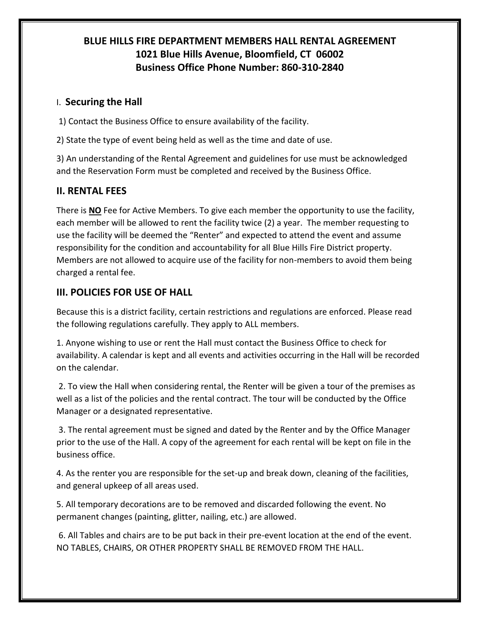## **BLUE HILLS FIRE DEPARTMENT MEMBERS HALL RENTAL AGREEMENT 1021 Blue Hills Avenue, Bloomfield, CT 06002 Business Office Phone Number: 860-310-2840**

## I. **Securing the Hall**

1) Contact the Business Office to ensure availability of the facility.

2) State the type of event being held as well as the time and date of use.

3) An understanding of the Rental Agreement and guidelines for use must be acknowledged and the Reservation Form must be completed and received by the Business Office.

## **II. RENTAL FEES**

There is **NO** Fee for Active Members. To give each member the opportunity to use the facility, each member will be allowed to rent the facility twice (2) a year. The member requesting to use the facility will be deemed the "Renter" and expected to attend the event and assume responsibility for the condition and accountability for all Blue Hills Fire District property. Members are not allowed to acquire use of the facility for non-members to avoid them being charged a rental fee.

## **III. POLICIES FOR USE OF HALL**

Because this is a district facility, certain restrictions and regulations are enforced. Please read the following regulations carefully. They apply to ALL members.

1. Anyone wishing to use or rent the Hall must contact the Business Office to check for availability. A calendar is kept and all events and activities occurring in the Hall will be recorded on the calendar.

2. To view the Hall when considering rental, the Renter will be given a tour of the premises as well as a list of the policies and the rental contract. The tour will be conducted by the Office Manager or a designated representative.

3. The rental agreement must be signed and dated by the Renter and by the Office Manager prior to the use of the Hall. A copy of the agreement for each rental will be kept on file in the business office.

4. As the renter you are responsible for the set-up and break down, cleaning of the facilities, and general upkeep of all areas used.

5. All temporary decorations are to be removed and discarded following the event. No permanent changes (painting, glitter, nailing, etc.) are allowed.

6. All Tables and chairs are to be put back in their pre-event location at the end of the event. NO TABLES, CHAIRS, OR OTHER PROPERTY SHALL BE REMOVED FROM THE HALL.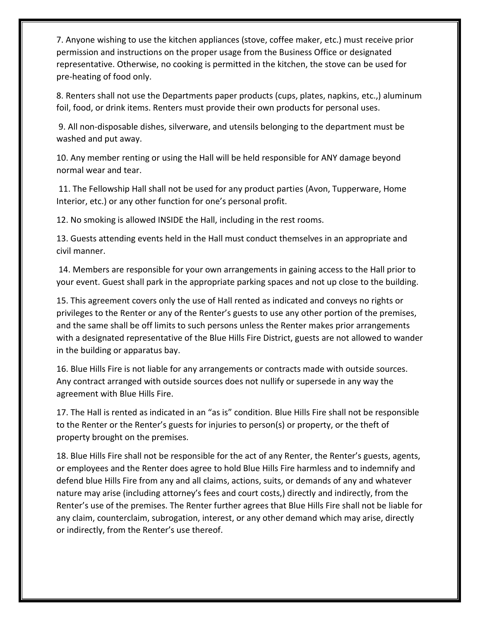7. Anyone wishing to use the kitchen appliances (stove, coffee maker, etc.) must receive prior permission and instructions on the proper usage from the Business Office or designated representative. Otherwise, no cooking is permitted in the kitchen, the stove can be used for pre-heating of food only.

8. Renters shall not use the Departments paper products (cups, plates, napkins, etc.,) aluminum foil, food, or drink items. Renters must provide their own products for personal uses.

9. All non-disposable dishes, silverware, and utensils belonging to the department must be washed and put away.

10. Any member renting or using the Hall will be held responsible for ANY damage beyond normal wear and tear.

11. The Fellowship Hall shall not be used for any product parties (Avon, Tupperware, Home Interior, etc.) or any other function for one's personal profit.

12. No smoking is allowed INSIDE the Hall, including in the rest rooms.

13. Guests attending events held in the Hall must conduct themselves in an appropriate and civil manner.

14. Members are responsible for your own arrangements in gaining access to the Hall prior to your event. Guest shall park in the appropriate parking spaces and not up close to the building.

15. This agreement covers only the use of Hall rented as indicated and conveys no rights or privileges to the Renter or any of the Renter's guests to use any other portion of the premises, and the same shall be off limits to such persons unless the Renter makes prior arrangements with a designated representative of the Blue Hills Fire District, guests are not allowed to wander in the building or apparatus bay.

16. Blue Hills Fire is not liable for any arrangements or contracts made with outside sources. Any contract arranged with outside sources does not nullify or supersede in any way the agreement with Blue Hills Fire.

17. The Hall is rented as indicated in an "as is" condition. Blue Hills Fire shall not be responsible to the Renter or the Renter's guests for injuries to person(s) or property, or the theft of property brought on the premises.

18. Blue Hills Fire shall not be responsible for the act of any Renter, the Renter's guests, agents, or employees and the Renter does agree to hold Blue Hills Fire harmless and to indemnify and defend blue Hills Fire from any and all claims, actions, suits, or demands of any and whatever nature may arise (including attorney's fees and court costs,) directly and indirectly, from the Renter's use of the premises. The Renter further agrees that Blue Hills Fire shall not be liable for any claim, counterclaim, subrogation, interest, or any other demand which may arise, directly or indirectly, from the Renter's use thereof.